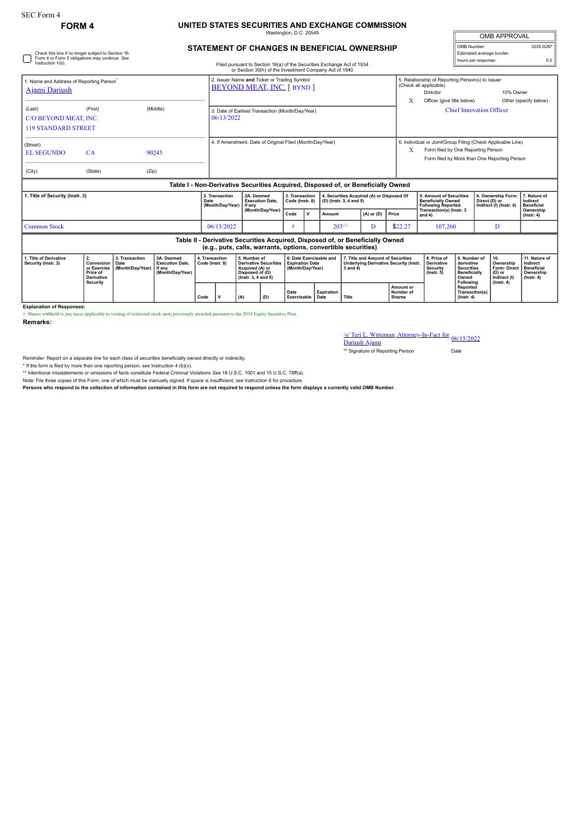## **FORM 4 UNITED STATES SECURITIES AND EXCHANGE COMMISSION** Washington, D.C. 20549

**STATEMENT OF CHANGES IN BENEFICIAL OWNERSHIP**

| <b>OMB APPROVAL</b>      |           |  |  |  |  |  |  |  |
|--------------------------|-----------|--|--|--|--|--|--|--|
| OMB Number:              | 3235-0287 |  |  |  |  |  |  |  |
| Estimated average burden |           |  |  |  |  |  |  |  |
| hours per response:      |           |  |  |  |  |  |  |  |

| Check this box if no longer subject to Section 16.<br>Form 4 or Form 5 obligations may continue. See<br>Instruction 1(b).<br>Filed pursuant to Section 16(a) of the Securities Exchange Act of 1934<br>or Section 30(h) of the Investment Company Act of 1940 |                                                                  |                                            |                                                                                  |                                   |                                                                                  |                                                                                                              |                                      |                                                                       |                                   |                                                                |                                                                                                    |                                                                               |                                         |                                                                                                                                                   | Estimated average burden<br>hours per response:                                              |                                                                | 0.5                                                                             |  |
|---------------------------------------------------------------------------------------------------------------------------------------------------------------------------------------------------------------------------------------------------------------|------------------------------------------------------------------|--------------------------------------------|----------------------------------------------------------------------------------|-----------------------------------|----------------------------------------------------------------------------------|--------------------------------------------------------------------------------------------------------------|--------------------------------------|-----------------------------------------------------------------------|-----------------------------------|----------------------------------------------------------------|----------------------------------------------------------------------------------------------------|-------------------------------------------------------------------------------|-----------------------------------------|---------------------------------------------------------------------------------------------------------------------------------------------------|----------------------------------------------------------------------------------------------|----------------------------------------------------------------|---------------------------------------------------------------------------------|--|
| 1. Name and Address of Reporting Person <sup>®</sup><br><b>Ajami Dariush</b>                                                                                                                                                                                  |                                                                  |                                            |                                                                                  |                                   | 2. Issuer Name and Ticker or Trading Symbol<br><b>BEYOND MEAT, INC. [ BYND ]</b> |                                                                                                              |                                      |                                                                       |                                   |                                                                |                                                                                                    |                                                                               |                                         | (Check all applicable)<br>Director                                                                                                                | 5. Relationship of Reporting Person(s) to Issuer<br>10% Owner                                |                                                                |                                                                                 |  |
| (Last)<br>C/O BEYOND MEAT. INC.<br><b>119 STANDARD STREET</b>                                                                                                                                                                                                 | (First)                                                          |                                            | (Middle)                                                                         |                                   | 3. Date of Earliest Transaction (Month/Day/Year)<br>06/13/2022                   |                                                                                                              |                                      |                                                                       |                                   |                                                                |                                                                                                    |                                                                               | X                                       | Officer (give title below)<br>Other (specify below)<br><b>Chief Innovation Officer</b>                                                            |                                                                                              |                                                                |                                                                                 |  |
| (Street)<br><b>EL SEGUNDO</b><br>(City)                                                                                                                                                                                                                       | CA<br>(State)                                                    | (Zip)                                      | 90245                                                                            |                                   | 4. If Amendment, Date of Original Filed (Month/Day/Year)                         |                                                                                                              |                                      |                                                                       |                                   |                                                                |                                                                                                    |                                                                               | X                                       | 6. Individual or Joint/Group Filing (Check Applicable Line)<br>Form filed by One Reporting Person<br>Form filed by More than One Reporting Person |                                                                                              |                                                                |                                                                                 |  |
|                                                                                                                                                                                                                                                               |                                                                  |                                            | Table I - Non-Derivative Securities Acquired, Disposed of, or Beneficially Owned |                                   |                                                                                  |                                                                                                              |                                      |                                                                       |                                   |                                                                |                                                                                                    |                                                                               |                                         |                                                                                                                                                   |                                                                                              |                                                                |                                                                                 |  |
| 1. Title of Security (Instr. 3)                                                                                                                                                                                                                               |                                                                  |                                            |                                                                                  | Date                              | 2. Transaction<br>(Month/Day/Year)                                               | if anv                                                                                                       | 2A. Deemed<br><b>Execution Date.</b> |                                                                       | 3. Transaction<br>Code (Instr. 8) |                                                                | 4. Securities Acquired (A) or Disposed Of<br>(D) (Instr. 3, 4 and 5)                               |                                                                               |                                         | 5. Amount of Securities<br><b>Beneficially Owned</b><br><b>Following Reported</b>                                                                 |                                                                                              | 6. Ownership Form:<br>Direct (D) or<br>Indirect (I) (Instr. 4) | 7. Nature of<br>Indirect<br><b>Beneficial</b>                                   |  |
|                                                                                                                                                                                                                                                               |                                                                  |                                            |                                                                                  |                                   |                                                                                  |                                                                                                              | (Month/Day/Year)                     |                                                                       | $\mathsf{v}$                      | Amount                                                         |                                                                                                    | $(A)$ or $(D)$                                                                | Price                                   | Transaction(s) (Instr. 3<br>and $4)$                                                                                                              |                                                                                              |                                                                | Ownership<br>$($ lnstr. 4 $)$                                                   |  |
| <b>Common Stock</b>                                                                                                                                                                                                                                           |                                                                  |                                            |                                                                                  |                                   |                                                                                  | 06/13/2022                                                                                                   |                                      |                                                                       |                                   | $203^{(1)}$<br>D                                               |                                                                                                    | \$22.27                                                                       | 107,260                                 |                                                                                                                                                   | D                                                                                            |                                                                |                                                                                 |  |
|                                                                                                                                                                                                                                                               |                                                                  |                                            |                                                                                  |                                   |                                                                                  |                                                                                                              |                                      |                                                                       |                                   | (e.g., puts, calls, warrants, options, convertible securities) |                                                                                                    | Table II - Derivative Securities Acquired, Disposed of, or Beneficially Owned |                                         |                                                                                                                                                   |                                                                                              |                                                                |                                                                                 |  |
| 1. Title of Derivative<br>Security (Instr. 3)                                                                                                                                                                                                                 | 2.<br>Conversion<br>or Exercise<br>Price of<br><b>Derivative</b> | 3. Transaction<br>Date<br>(Month/Day/Year) | 3A. Deemed<br><b>Execution Date,</b><br>if any<br>(Month/Day/Year)               | 4. Transaction<br>Code (Instr. 8) |                                                                                  | 5. Number of<br><b>Derivative Securities</b><br>Acquired (A) or<br>Disposed of (D)<br>$($ lnstr. 3. 4 and 5) |                                      | 6. Date Exercisable and<br><b>Expiration Date</b><br>(Month/Day/Year) |                                   |                                                                | 7. Title and Amount of Securities<br><b>Underlying Derivative Security (Instr.</b><br>$3$ and $4)$ |                                                                               |                                         | 8. Price of<br><b>Derivative</b><br><b>Security</b><br>$($ lnstr $, 5)$                                                                           | 9. Number of<br>derivative<br><b>Securities</b><br><b>Beneficially</b><br>Owned<br>Following | 10.<br>Ownership<br>Form: Direct<br>(D) or<br>Indirect (I)     | 11. Nature of<br>Indirect<br><b>Beneficial</b><br>Ownership<br>$($ Instr. 4 $)$ |  |
|                                                                                                                                                                                                                                                               | Security                                                         |                                            |                                                                                  | Code                              | $\mathsf{v}$<br>(A)<br>(D)                                                       |                                                                                                              |                                      | Date<br>Exercisable                                                   |                                   | Expiration<br>Date                                             | Title                                                                                              |                                                                               | Amount or<br>Number of<br><b>Shares</b> |                                                                                                                                                   | <b>Reported</b><br>Transaction(s)<br>$($ lnstr $, 4)$                                        | $($ lnstr. 4 $)$                                               |                                                                                 |  |

**Explanation of Responses:**

1. Shares withheld to pay taxes applicable to vesting of restricted stock units previously awarded pursuant to the 2018 Equity Incentive Plan.

**Remarks:**

/s/ Teri L. Witteman, Attorney-In-Fact for 06/15/2022<br>Dariush Ajami

\*\* Signature of Reporting Person Date

Reminder: Report on a separate line for each class of securities beneficially owned directly or indirectly.

\* If the form is filed by more than one reporting person, *see* Instruction 4 (b)(v).

\*\* Intentional misstatements or omissions of facts constitute Federal Criminal Violations *See* 18 U.S.C. 1001 and 15 U.S.C. 78ff(a).

Note: File three copies of this Form, one of which must be manually signed. If space is insufficient, *see* Instruction 6 for procedure.

**Persons who respond to the collection of information contained in this form are not required to respond unless the form displays a currently valid OMB Number.**